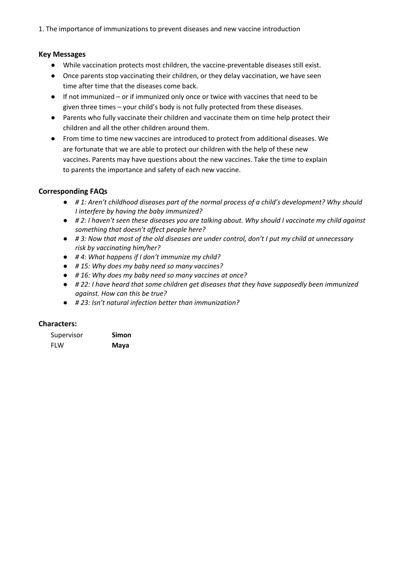1. The importance of immunizations to prevent diseases and new vaccine introduction

## **Key Messages**

- While vaccination protects most children, the vaccine-preventable diseases still exist.
- Once parents stop vaccinating their children, or they delay vaccination, we have seen time after time that the diseases come back.
- If not immunized or if immunized only once or twice with vaccines that need to be given three times – your child's body is not fully protected from these diseases.
- Parents who fully vaccinate their children and vaccinate them on time help protect their children and all the other children around them.
- From time to time new vaccines are introduced to protect from additional diseases. We are fortunate that we are able to protect our children with the help of these new vaccines. Parents may have questions about the new vaccines. Take the time to explain to parents the importance and safety of each new vaccine.

## **Corresponding FAQs**

- *# 1: Aren't childhood diseases part of the normal process of a child's development? Why should I interfere by having the baby immunized?*
- *# 2: I haven't seen these diseases you are talking about. Why should I vaccinate my child against something that doesn't affect people here?*
- *# 3: Now that most of the old diseases are under control, don't I put my child at unnecessary risk by vaccinating him/her?*
- *# 4: What happens if I don't immunize my child?*
- *# 15: Why does my baby need so many vaccines?*
- *# 16: Why does my baby need so many vaccines at once?*
- *# 22: I have heard that some children get diseases that they have supposedly been immunized against. How can this be true?*
- *# 23: Isn't natural infection better than immunization?*

## **Characters:**

| Supervisor | Simon |
|------------|-------|
| <b>FLW</b> | Maya  |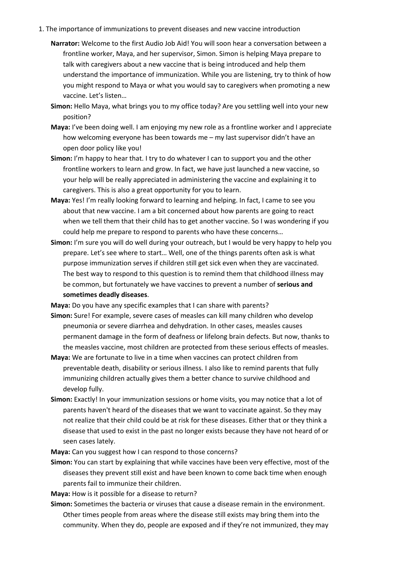- 1. The importance of immunizations to prevent diseases and new vaccine introduction
	- **Narrator:** Welcome to the first Audio Job Aid! You will soon hear a conversation between a frontline worker, Maya, and her supervisor, Simon. Simon is helping Maya prepare to talk with caregivers about a new vaccine that is being introduced and help them understand the importance of immunization. While you are listening, try to think of how you might respond to Maya or what you would say to caregivers when promoting a new vaccine. Let's listen…
	- **Simon:** Hello Maya, what brings you to my office today? Are you settling well into your new position?
	- **Maya:** I've been doing well. I am enjoying my new role as a frontline worker and I appreciate how welcoming everyone has been towards me – my last supervisor didn't have an open door policy like you!
	- **Simon:** I'm happy to hear that. I try to do whatever I can to support you and the other frontline workers to learn and grow. In fact, we have just launched a new vaccine, so your help will be really appreciated in administering the vaccine and explaining it to caregivers. This is also a great opportunity for you to learn.
	- **Maya:** Yes! I'm really looking forward to learning and helping. In fact, I came to see you about that new vaccine. I am a bit concerned about how parents are going to react when we tell them that their child has to get another vaccine. So I was wondering if you could help me prepare to respond to parents who have these concerns…
	- **Simon:** I'm sure you will do well during your outreach, but I would be very happy to help you prepare. Let's see where to start… Well, one of the things parents often ask is what purpose immunization serves if children still get sick even when they are vaccinated. The best way to respond to this question is to remind them that childhood illness may be common, but fortunately we have vaccines to prevent a number of **serious and sometimes deadly diseases**.

**Maya:** Do you have any specific examples that I can share with parents?

- **Simon:** Sure! For example, severe cases of measles can kill many children who develop pneumonia or severe diarrhea and dehydration. In other cases, measles causes permanent damage in the form of deafness or lifelong brain defects. But now, thanks to the measles vaccine, most children are protected from these serious effects of measles.
- **Maya:** We are fortunate to live in a time when vaccines can protect children from preventable death, disability or serious illness. I also like to remind parents that fully immunizing children actually gives them a better chance to survive childhood and develop fully.
- **Simon:** Exactly! In your immunization sessions or home visits, you may notice that a lot of parents haven't heard of the diseases that we want to vaccinate against. So they may not realize that their child could be at risk for these diseases. Either that or they think a disease that used to exist in the past no longer exists because they have not heard of or seen cases lately.

**Maya:** Can you suggest how I can respond to those concerns?

**Simon:** You can start by explaining that while vaccines have been very effective, most of the diseases they prevent still exist and have been known to come back time when enough parents fail to immunize their children.

**Maya:** How is it possible for a disease to return?

**Simon:** Sometimes the bacteria or viruses that cause a disease remain in the environment. Other times people from areas where the disease still exists may bring them into the community. When they do, people are exposed and if they're not immunized, they may